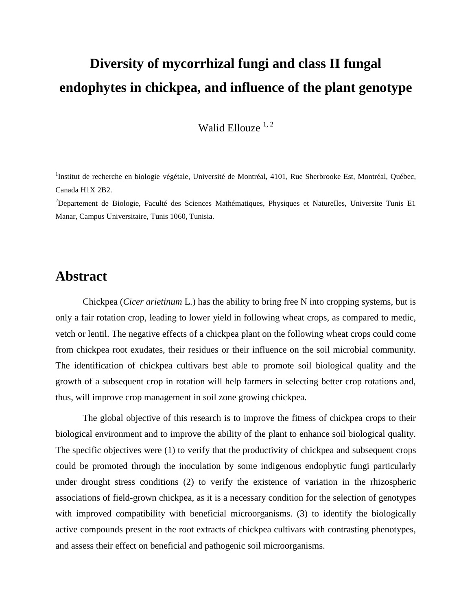## **Diversity of mycorrhizal fungi and class II fungal endophytes in chickpea, and influence of the plant genotype**

Walid Ellouze  $1, 2$ 

<sup>1</sup>Institut de recherche en biologie végétale, Université de Montréal, 4101, Rue Sherbrooke Est, Montréal, Québec, Canada H1X 2B2.

<sup>2</sup>Departement de Biologie, Faculté des Sciences Mathématiques, Physiques et NatureIles, Universite Tunis E1 Manar, Campus Universitaire, Tunis 1060, Tunisia.

## **Abstract**

Chickpea (*Cicer arietinum* L.) has the ability to bring free N into cropping systems, but is only a fair rotation crop, leading to lower yield in following wheat crops, as compared to medic, vetch or lentil. The negative effects of a chickpea plant on the following wheat crops could come from chickpea root exudates, their residues or their influence on the soil microbial community. The identification of chickpea cultivars best able to promote soil biological quality and the growth of a subsequent crop in rotation will help farmers in selecting better crop rotations and, thus, will improve crop management in soil zone growing chickpea.

The global objective of this research is to improve the fitness of chickpea crops to their biological environment and to improve the ability of the plant to enhance soil biological quality. The specific objectives were (1) to verify that the productivity of chickpea and subsequent crops could be promoted through the inoculation by some indigenous endophytic fungi particularly under drought stress conditions (2) to verify the existence of variation in the rhizospheric associations of field-grown chickpea, as it is a necessary condition for the selection of genotypes with improved compatibility with beneficial microorganisms. (3) to identify the biologically active compounds present in the root extracts of chickpea cultivars with contrasting phenotypes, and assess their effect on beneficial and pathogenic soil microorganisms.